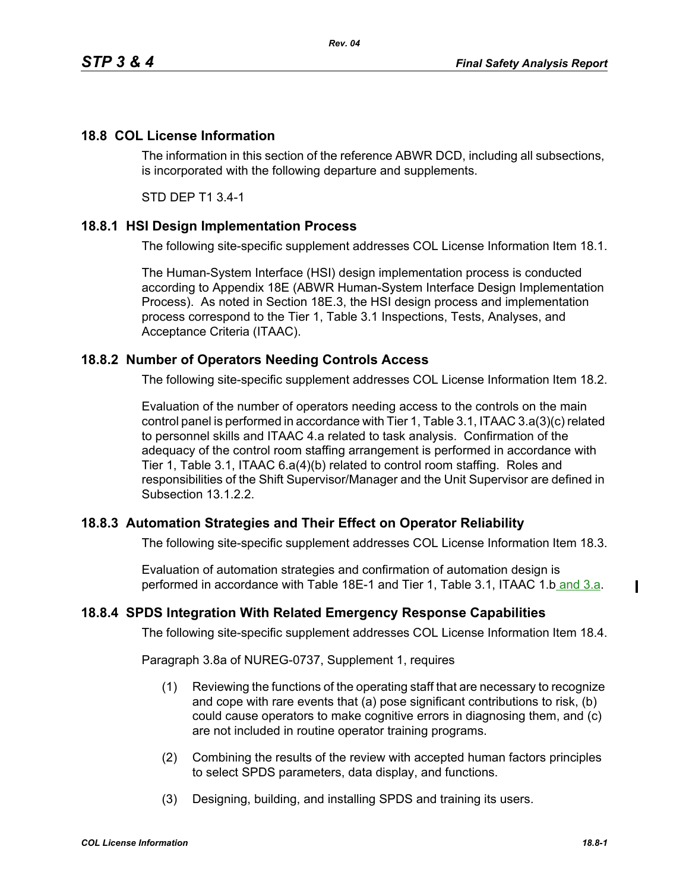### **18.8 COL License Information**

The information in this section of the reference ABWR DCD, including all subsections, is incorporated with the following departure and supplements.

STD DEP T1 3.4-1

#### **18.8.1 HSI Design Implementation Process**

The following site-specific supplement addresses COL License Information Item 18.1.

The Human-System Interface (HSI) design implementation process is conducted according to Appendix 18E (ABWR Human-System Interface Design Implementation Process). As noted in Section 18E.3, the HSI design process and implementation process correspond to the Tier 1, Table 3.1 Inspections, Tests, Analyses, and Acceptance Criteria (ITAAC).

#### **18.8.2 Number of Operators Needing Controls Access**

The following site-specific supplement addresses COL License Information Item 18.2.

Evaluation of the number of operators needing access to the controls on the main control panel is performed in accordance with Tier 1, Table 3.1, ITAAC 3.a(3)(c) related to personnel skills and ITAAC 4.a related to task analysis. Confirmation of the adequacy of the control room staffing arrangement is performed in accordance with Tier 1, Table 3.1, ITAAC 6.a(4)(b) related to control room staffing. Roles and responsibilities of the Shift Supervisor/Manager and the Unit Supervisor are defined in Subsection 13.1.2.2.

### **18.8.3 Automation Strategies and Their Effect on Operator Reliability**

The following site-specific supplement addresses COL License Information Item 18.3.

Evaluation of automation strategies and confirmation of automation design is performed in accordance with Table 18E-1 and Tier 1, Table 3.1, ITAAC 1.b and 3.a.

#### **18.8.4 SPDS Integration With Related Emergency Response Capabilities**

The following site-specific supplement addresses COL License Information Item 18.4.

Paragraph 3.8a of NUREG-0737, Supplement 1, requires

- (1) Reviewing the functions of the operating staff that are necessary to recognize and cope with rare events that (a) pose significant contributions to risk, (b) could cause operators to make cognitive errors in diagnosing them, and (c) are not included in routine operator training programs.
- (2) Combining the results of the review with accepted human factors principles to select SPDS parameters, data display, and functions.
- (3) Designing, building, and installing SPDS and training its users.

I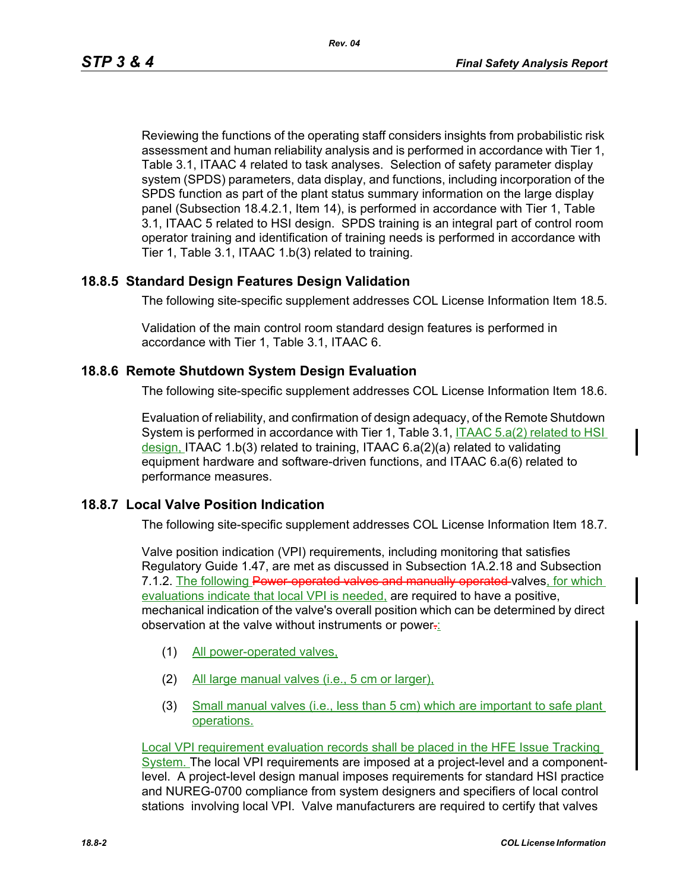Reviewing the functions of the operating staff considers insights from probabilistic risk assessment and human reliability analysis and is performed in accordance with Tier 1, Table 3.1, ITAAC 4 related to task analyses. Selection of safety parameter display system (SPDS) parameters, data display, and functions, including incorporation of the SPDS function as part of the plant status summary information on the large display panel (Subsection 18.4.2.1, Item 14), is performed in accordance with Tier 1, Table 3.1, ITAAC 5 related to HSI design. SPDS training is an integral part of control room operator training and identification of training needs is performed in accordance with Tier 1, Table 3.1, ITAAC 1.b(3) related to training.

## **18.8.5 Standard Design Features Design Validation**

The following site-specific supplement addresses COL License Information Item 18.5.

Validation of the main control room standard design features is performed in accordance with Tier 1, Table 3.1, ITAAC 6.

### **18.8.6 Remote Shutdown System Design Evaluation**

The following site-specific supplement addresses COL License Information Item 18.6.

Evaluation of reliability, and confirmation of design adequacy, of the Remote Shutdown System is performed in accordance with Tier 1, Table 3.1, ITAAC 5.a(2) related to HSI design, ITAAC 1.b(3) related to training, ITAAC 6.a(2)(a) related to validating equipment hardware and software-driven functions, and ITAAC 6.a(6) related to performance measures.

### **18.8.7 Local Valve Position Indication**

The following site-specific supplement addresses COL License Information Item 18.7.

Valve position indication (VPI) requirements, including monitoring that satisfies Regulatory Guide 1.47, are met as discussed in Subsection 1A.2.18 and Subsection 7.1.2. The following Power-operated valves and manually operated valves, for which evaluations indicate that local VPI is needed, are required to have a positive, mechanical indication of the valve's overall position which can be determined by direct observation at the valve without instruments or power.

- (1) All power-operated valves,
- (2) All large manual valves (i.e., 5 cm or larger),
- (3) Small manual valves (i.e., less than 5 cm) which are important to safe plant operations.

Local VPI requirement evaluation records shall be placed in the HFE Issue Tracking System. The local VPI requirements are imposed at a project-level and a componentlevel. A project-level design manual imposes requirements for standard HSI practice and NUREG-0700 compliance from system designers and specifiers of local control stations involving local VPI. Valve manufacturers are required to certify that valves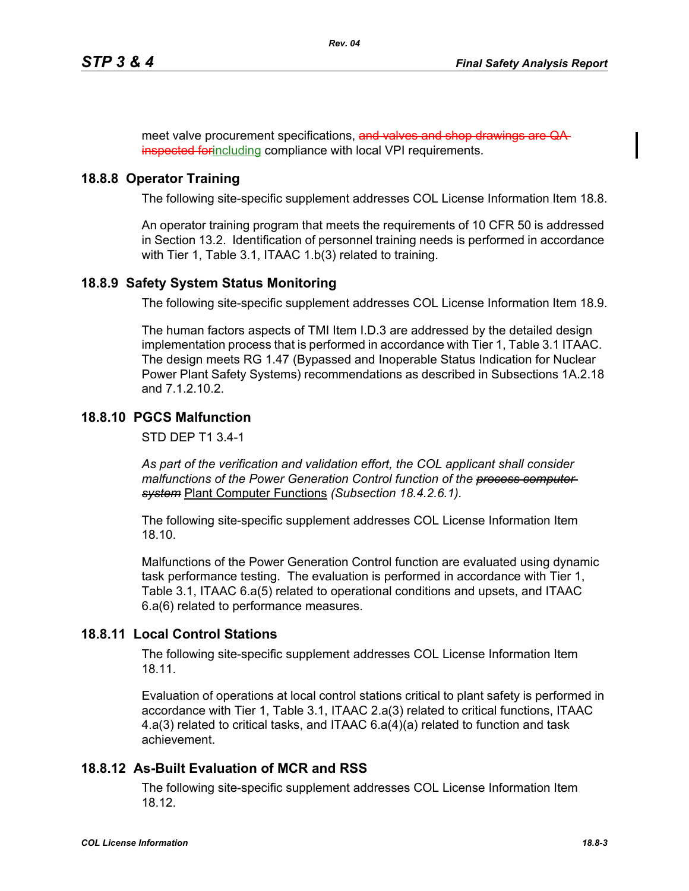meet valve procurement specifications, and valves and shop drawings are inspected for including compliance with local VPI requirements.

# **18.8.8 Operator Training**

The following site-specific supplement addresses COL License Information Item 18.8.

An operator training program that meets the requirements of 10 CFR 50 is addressed in Section 13.2. Identification of personnel training needs is performed in accordance with Tier 1, Table 3.1, ITAAC 1.b(3) related to training.

## **18.8.9 Safety System Status Monitoring**

The following site-specific supplement addresses COL License Information Item 18.9.

The human factors aspects of TMI Item I.D.3 are addressed by the detailed design implementation process that is performed in accordance with Tier 1, Table 3.1 ITAAC. The design meets RG 1.47 (Bypassed and Inoperable Status Indication for Nuclear Power Plant Safety Systems) recommendations as described in Subsections 1A.2.18 and 7.1.2.10.2.

# **18.8.10 PGCS Malfunction**

STD DEP T1 3.4-1

*As part of the verification and validation effort, the COL applicant shall consider malfunctions of the Power Generation Control function of the process computer system* Plant Computer Functions *(Subsection 18.4.2.6.1).*

The following site-specific supplement addresses COL License Information Item 18.10.

Malfunctions of the Power Generation Control function are evaluated using dynamic task performance testing. The evaluation is performed in accordance with Tier 1, Table 3.1, ITAAC 6.a(5) related to operational conditions and upsets, and ITAAC 6.a(6) related to performance measures.

# **18.8.11 Local Control Stations**

The following site-specific supplement addresses COL License Information Item 18.11.

Evaluation of operations at local control stations critical to plant safety is performed in accordance with Tier 1, Table 3.1, ITAAC 2.a(3) related to critical functions, ITAAC 4.a(3) related to critical tasks, and ITAAC 6.a(4)(a) related to function and task achievement.

# **18.8.12 As-Built Evaluation of MCR and RSS**

The following site-specific supplement addresses COL License Information Item 18.12.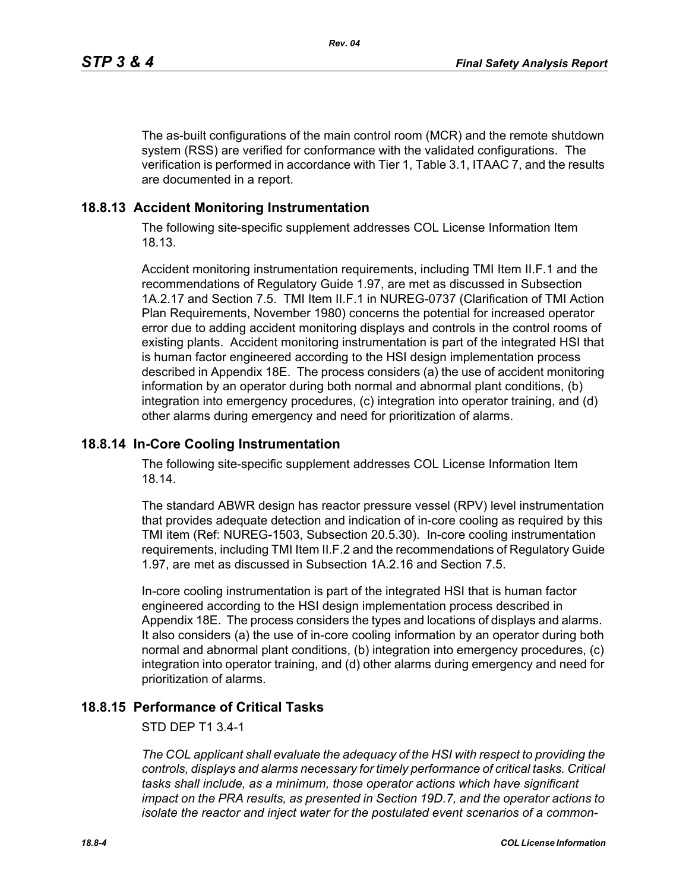The as-built configurations of the main control room (MCR) and the remote shutdown system (RSS) are verified for conformance with the validated configurations. The verification is performed in accordance with Tier 1, Table 3.1, ITAAC 7, and the results are documented in a report.

## **18.8.13 Accident Monitoring Instrumentation**

The following site-specific supplement addresses COL License Information Item 18.13.

Accident monitoring instrumentation requirements, including TMI Item II.F.1 and the recommendations of Regulatory Guide 1.97, are met as discussed in Subsection 1A.2.17 and Section 7.5. TMI Item II.F.1 in NUREG-0737 (Clarification of TMI Action Plan Requirements, November 1980) concerns the potential for increased operator error due to adding accident monitoring displays and controls in the control rooms of existing plants. Accident monitoring instrumentation is part of the integrated HSI that is human factor engineered according to the HSI design implementation process described in Appendix 18E. The process considers (a) the use of accident monitoring information by an operator during both normal and abnormal plant conditions, (b) integration into emergency procedures, (c) integration into operator training, and (d) other alarms during emergency and need for prioritization of alarms.

#### **18.8.14 In-Core Cooling Instrumentation**

The following site-specific supplement addresses COL License Information Item 18.14.

The standard ABWR design has reactor pressure vessel (RPV) level instrumentation that provides adequate detection and indication of in-core cooling as required by this TMI item (Ref: NUREG-1503, Subsection 20.5.30). In-core cooling instrumentation requirements, including TMI Item II.F.2 and the recommendations of Regulatory Guide 1.97, are met as discussed in Subsection 1A.2.16 and Section 7.5.

In-core cooling instrumentation is part of the integrated HSI that is human factor engineered according to the HSI design implementation process described in Appendix 18E. The process considers the types and locations of displays and alarms. It also considers (a) the use of in-core cooling information by an operator during both normal and abnormal plant conditions, (b) integration into emergency procedures, (c) integration into operator training, and (d) other alarms during emergency and need for prioritization of alarms.

# **18.8.15 Performance of Critical Tasks**

#### STD DEP T1 3.4-1

*The COL applicant shall evaluate the adequacy of the HSI with respect to providing the controls, displays and alarms necessary for timely performance of critical tasks. Critical tasks shall include, as a minimum, those operator actions which have significant impact on the PRA results, as presented in Section 19D.7, and the operator actions to isolate the reactor and inject water for the postulated event scenarios of a common-*